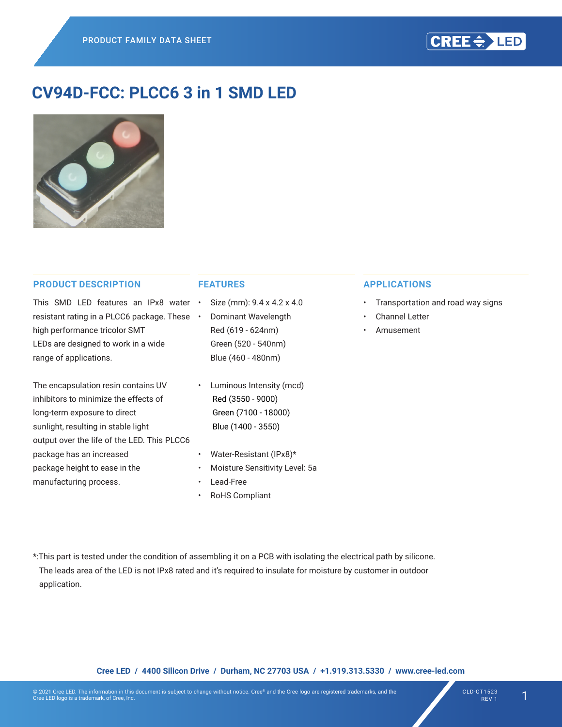

# **CV94D-FCC: PLCC6 3 in 1 SMD LED**



#### **PRODUCT DESCRIPTION**

This SMD LED features an IPx8 water resistant rating in a PLCC6 package. These . high performance tricolor SMT LEDs are designed to work in a wide range of applications.

The encapsulation resin contains UV inhibitors to minimize the effects of long-term exposure to direct sunlight, resulting in stable light output over the life of the LED. This PLCC6 package has an increased package height to ease in the manufacturing process.

# **FEATURES**

- Size (mm):  $9.4 \times 4.2 \times 4.0$ 
	- **Dominant Wavelength** Red (619 - 624nm) Green (520 - 540nm) Blue (460 - 480nm)
- • Luminous Intensity (mcd) Red (3550 - 9000) Green (7100 - 18000) Blue (1400 - 3550)
- Water-Resistant (IPx8)\*
- Moisture Sensitivity Level: 5a
- Lead-Free
- RoHS Compliant

#### **APPLICATIONS**

- Transportation and road way signs
- Channel Letter
- **Amusement**

\*:This part is tested under the condition of assembling it on a PCB with isolating the electrical path by silicone. The leads area of the LED is not IPx8 rated and it's required to insulate for moisture by customer in outdoor

application.

**Cree LED / 4400 Silicon Drive / Durham, NC 27703 USA / +1.919.313.5330 / www.cree-led.com**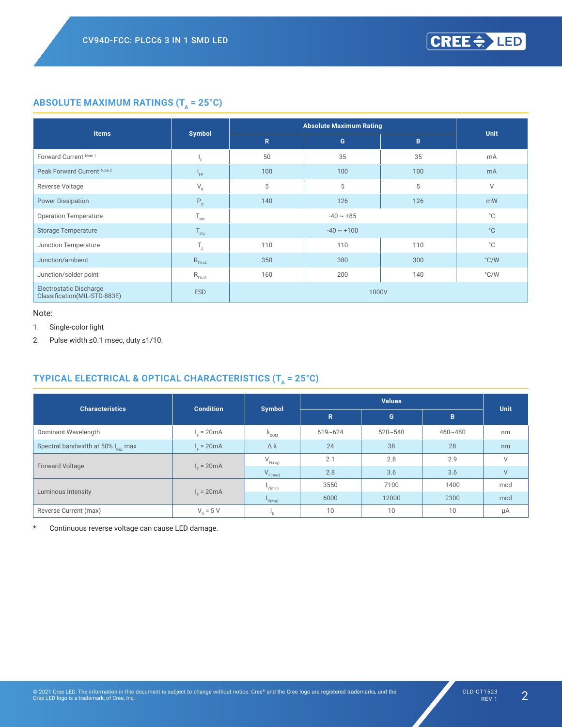# **ABSOLUTE MAXIMUM RATINGS (T<sub>A</sub> = 25°C)**

|                                                         |                                               |              | <b>Absolute Maximum Rating</b> |     | <b>Unit</b>   |
|---------------------------------------------------------|-----------------------------------------------|--------------|--------------------------------|-----|---------------|
| <b>Items</b>                                            | <b>Symbol</b>                                 | $\mathbb{R}$ | G                              | B   |               |
| Forward Current Note 1                                  | ŀс                                            | 50           | 35                             | 35  | mA            |
| Peak Forward Current Note 2                             | $I_{FP}$                                      | 100          | 100                            | 100 | mA            |
| Reverse Voltage                                         | $\mathsf{V}_{\scriptscriptstyle{\mathsf{R}}}$ | 5            | 5                              | 5   | $\vee$        |
| <b>Power Dissipation</b>                                | $\mathsf{P}_{\texttt{D}}$                     | 140          | 126                            | 126 | mW            |
| <b>Operation Temperature</b>                            | $\mathsf{T}_{\mathsf{opr}}$                   |              | $-40 \sim +85$                 |     | $^{\circ}$ C  |
| <b>Storage Temperature</b>                              | $\mathsf{T}_{\text{stg}}$                     |              | $-40 \sim +100$                |     | $^{\circ}$ C  |
| Junction Temperature                                    | T,                                            | 110          | 110                            | 110 | $^{\circ}$ C  |
| Junction/ambient                                        | $R$ <sub>THJA</sub>                           | 350          | 380                            | 300 | $\degree$ C/W |
| Junction/solder point                                   | $R$ <sub>THJS</sub>                           | 160          | 200                            | 140 | $\degree$ C/W |
| Electrostatic Discharge<br>Classification(MIL-STD-883E) | <b>ESD</b>                                    |              | 1000V                          |     |               |

#### Note:

1. Single-color light

2. Pulse width ≤0.1 msec, duty ≤1/10.

# TYPICAL ELECTRICAL & OPTICAL CHARACTERISTICS (T<sub>A</sub> = 25°C)

| <b>Characteristics</b>                         |                  |                                                   |             | <b>Values</b> |         |             |  |
|------------------------------------------------|------------------|---------------------------------------------------|-------------|---------------|---------|-------------|--|
|                                                | <b>Condition</b> | <b>Symbol</b>                                     | R.          | G             | B       | <b>Unit</b> |  |
| Dominant Wavelength                            | $I_c = 20mA$     | $\Lambda_{\text{DOM}}$                            | $619 - 624$ | $520 - 540$   | 460~480 | nm          |  |
| Spectral bandwidth at 50% I <sub>pri</sub> max | $I_c = 20mA$     | $\Delta \lambda$                                  | 24          | 38            | 28      | nm          |  |
| <b>Forward Voltage</b>                         | $I_c = 20mA$     | $\mathsf{V}_{\scriptscriptstyle \mathsf{F(avg)}}$ | 2.1         | 2.8           | 2.9     | $\vee$      |  |
|                                                |                  | $V_{F(max)}$                                      | 2.8         | 3.6           | 3.6     | V           |  |
| Luminous Intensity                             | $I_c = 20mA$     | $I_{V(min)}$                                      | 3550        | 7100          | 1400    | mcd         |  |
|                                                |                  | V(avg)                                            | 6000        | 12000         | 2300    | mcd         |  |
| Reverse Current (max)                          | $V_p = 5 V$      | "R.                                               | 10          | 10            | 10      | μA          |  |

\* Continuous reverse voltage can cause LED damage.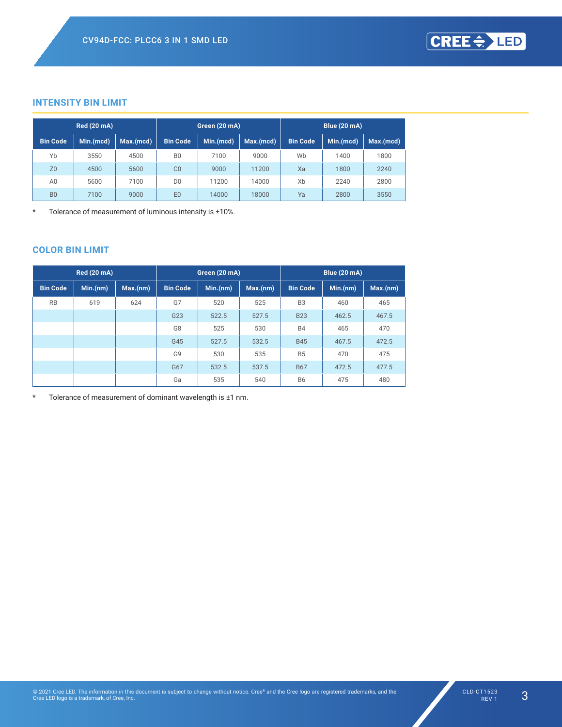# **INTENSITY BIN LIMIT**

|                 | <b>Red (20 mA)</b> |           | Green (20 mA)   |           |           | Blue (20 mA)                 |      |           |  |
|-----------------|--------------------|-----------|-----------------|-----------|-----------|------------------------------|------|-----------|--|
| <b>Bin Code</b> | Min.(mcd)          | Max.(mcd) | <b>Bin Code</b> | Min.(mcd) | Max.(med) | <b>Bin Code</b><br>Min.(mcd) |      | Max.(mcd) |  |
| Yb              | 3550               | 4500      | B <sub>0</sub>  | 7100      | 9000      | Wb                           | 1400 | 1800      |  |
| Z <sub>0</sub>  | 4500               | 5600      | CO              | 9000      | 11200     | Xa                           | 1800 | 2240      |  |
| A0              | 5600               | 7100      | D <sub>0</sub>  | 11200     | 14000     | Xb                           | 2240 | 2800      |  |
| B <sub>0</sub>  | 7100               | 9000      | E <sub>0</sub>  | 14000     | 18000     | Ya                           | 2800 | 3550      |  |

\* Tolerance of measurement of luminous intensity is ±10%.

# **COLOR BIN LIMIT**

| <b>Red (20 mA)</b> |          |          | Green (20 mA)   |          |          | <b>Blue (20 mA)</b> |          |          |  |
|--------------------|----------|----------|-----------------|----------|----------|---------------------|----------|----------|--|
| <b>Bin Code</b>    | Min.(nm) | Max.(nm) | <b>Bin Code</b> | Min.(nm) | Max.(nm) | <b>Bin Code</b>     | Min.(nm) | Max.(nm) |  |
| <b>RB</b>          | 619      | 624      | G7              | 520      | 525      | B <sub>3</sub>      | 460      | 465      |  |
|                    |          |          | G23             | 522.5    | 527.5    | <b>B23</b>          | 462.5    | 467.5    |  |
|                    |          |          | G8              | 525      | 530      | <b>B4</b>           | 465      | 470      |  |
|                    |          |          | G45             | 527.5    | 532.5    | <b>B45</b>          | 467.5    | 472.5    |  |
|                    |          |          | G <sub>9</sub>  | 530      | 535      | <b>B5</b>           | 470      | 475      |  |
|                    |          |          | G67             | 532.5    | 537.5    | <b>B67</b>          | 472.5    | 477.5    |  |
|                    |          |          | Ga              | 535      | 540      | <b>B6</b>           | 475      | 480      |  |

\* Tolerance of measurement of dominant wavelength is ±1 nm.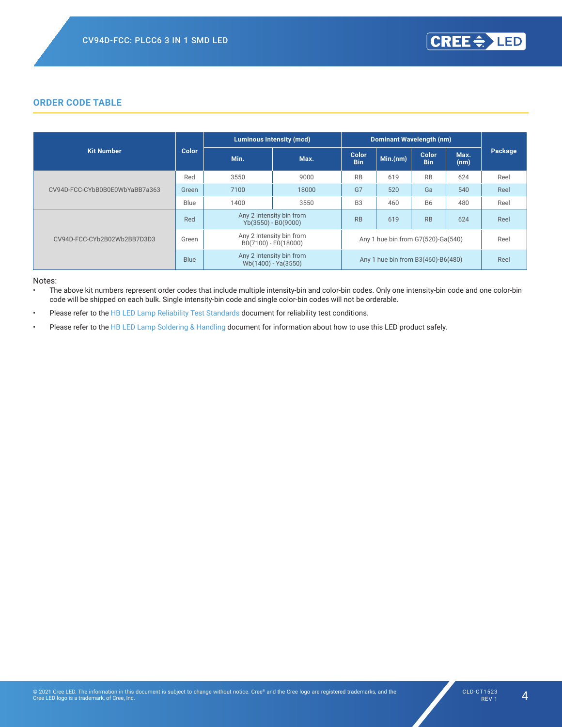### **ORDER CODE TABLE**

|                                |              |      | <b>Luminous Intensity (mcd)</b>                   |                     | <b>Dominant Wavelength (nm)</b>    |                     |              |         |
|--------------------------------|--------------|------|---------------------------------------------------|---------------------|------------------------------------|---------------------|--------------|---------|
| <b>Kit Number</b>              | <b>Color</b> | Min. | Max.                                              | Color<br><b>Bin</b> | Min.(nm)                           | Color<br><b>Bin</b> | Max.<br>(nm) | Package |
|                                | Red          | 3550 | 9000                                              | <b>RB</b>           | 619                                | <b>RB</b>           | 624          | Reel    |
| CV94D-FCC-CYbB0B0E0WbYaBB7a363 | Green        | 7100 | 18000                                             | G7                  | 520                                | Ga                  | 540          | Reel    |
|                                | Blue         | 1400 | 3550                                              | B <sub>3</sub>      | 460                                | <b>B6</b>           | 480          | Reel    |
|                                | Red          |      | Any 2 Intensity bin from<br>$Yb(3550) - B0(9000)$ | <b>RB</b>           | 619                                | <b>RB</b>           | 624          | Reel    |
| CV94D-FCC-CYb2B02Wb2BB7D3D3    | Green        |      | Any 2 Intensity bin from<br>B0(7100) - E0(18000)  |                     | Any 1 hue bin from G7(520)-Ga(540) |                     |              | Reel    |
|                                | <b>Blue</b>  |      | Any 2 Intensity bin from<br>Wb(1400) - Ya(3550)   |                     | Any 1 hue bin from B3(460)-B6(480) |                     |              | Reel    |

Notes:

The above kit numbers represent order codes that include multiple intensity-bin and color-bin codes. Only one intensity-bin code and one color-bin code will be shipped on each bulk. Single intensity-bin code and single color-bin codes will not be orderable.

Please refer to the HB LED Lamp Reliability Test Standards document for reliability test conditions.

Please refer to the HB LED Lamp Soldering & Handling document for information about how to use this LED product safely.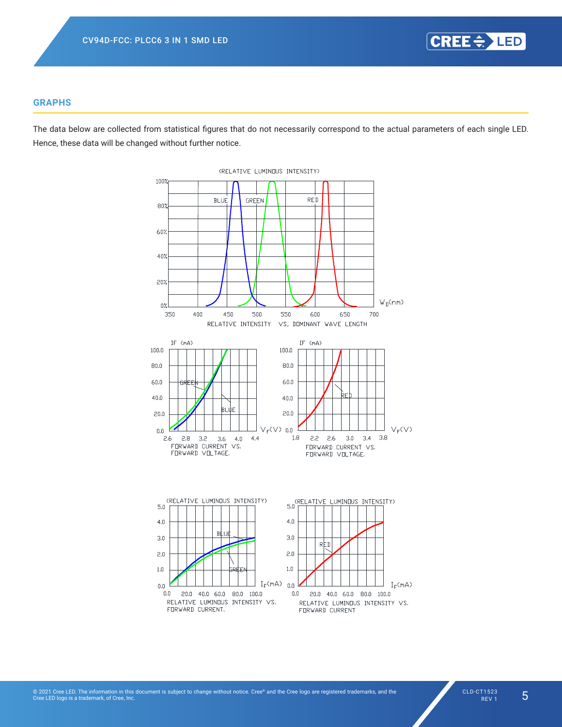

# **GRAPHS**

The data below are collected from statistical figures that do not necessarily correspond to the actual parameters of each single LED. Hence, these data will be changed without further notice.

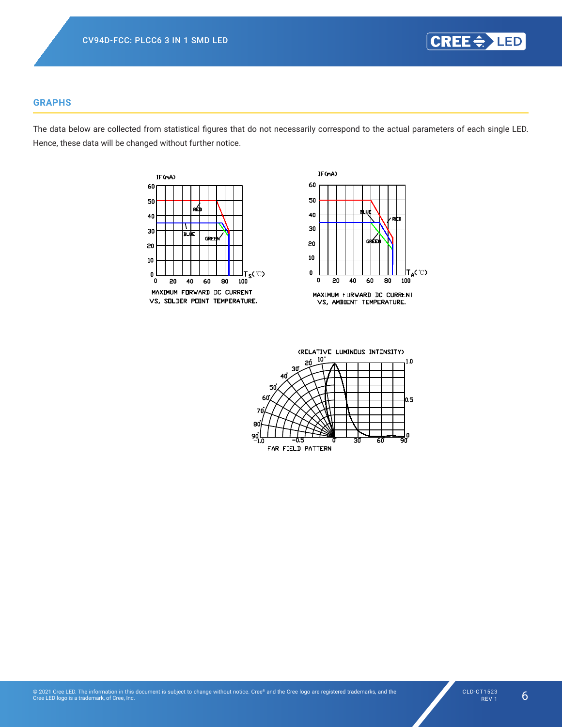

# **GRAPHS**

The data below are collected from statistical figures that do not necessarily correspond to the actual parameters of each single LED. Hence, these data will be changed without further notice.





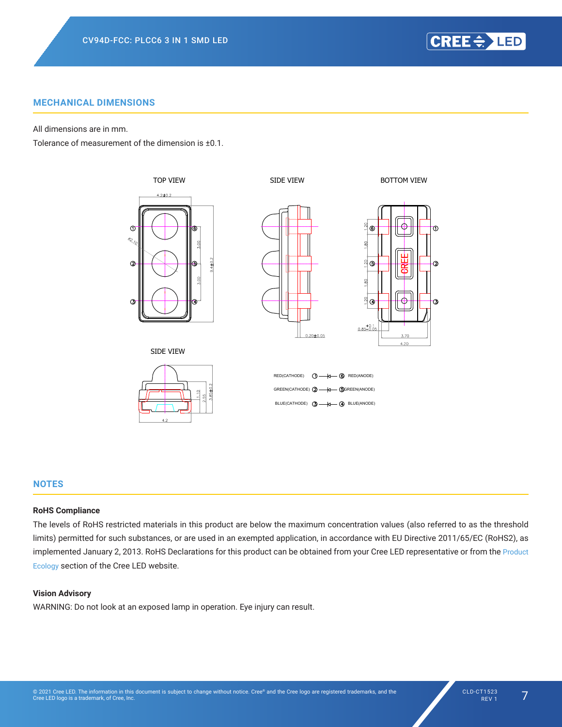CREE =>LED

# **MECHANICAL DIMENSIONS**

All dimensions are in mm.

Tolerance of measurement of the dimension is ±0.1.



#### **NOTES**

### **RoHS Compliance**

The levels of RoHS restricted materials in this product are below the maximum concentration values (also referred to as the threshold limits) permitted for such substances, or are used in an exempted application, in accordance with EU Directive 2011/65/EC (RoHS2), as implemented January 2, 2013. RoHS Declarations for this product can be obtained from your Cree LED representative or from the Product Ecology section of the Cree LED website.

#### **Vision Advisory**

WARNING: Do not look at an exposed lamp in operation. Eye injury can result.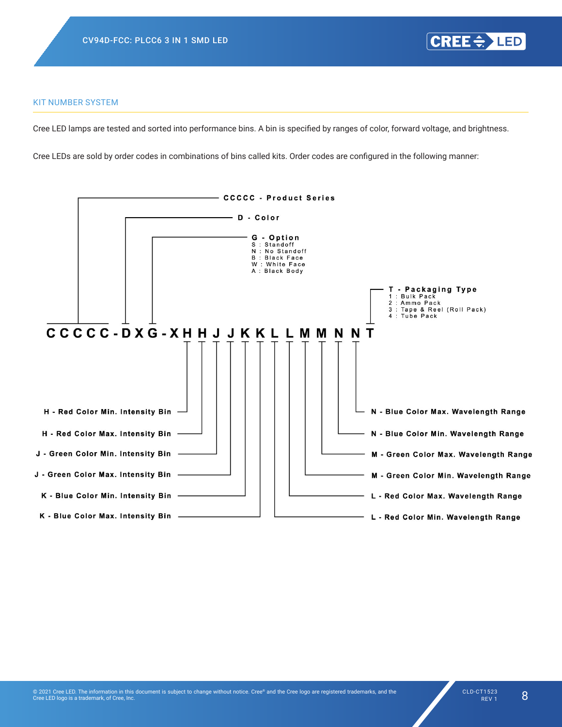#### KIT NUMBER SYSTEM

Cree LED lamps are tested and sorted into performance bins. A bin is specified by ranges of color, forward voltage, and brightness.

Cree LEDs are sold by order codes in combinations of bins called kits. Order codes are configured in the following manner:

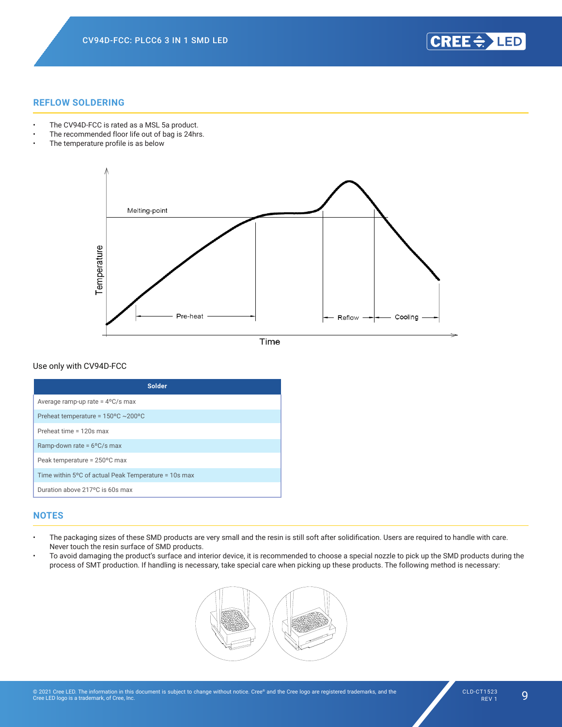CREE OF LED

#### **REFLOW SOLDERING**

- The CV94D-FCC is rated as a MSL 5a product.
- The recommended floor life out of bag is 24hrs.
- The temperature profile is as below



Time

#### Use only with CV94D-FCC

| <b>Solder</b>                                        |
|------------------------------------------------------|
|                                                      |
| Average ramp-up rate = $4^{\circ}$ C/s max           |
| Preheat temperature = $150^{\circ}$ C ~200°C         |
| Preheat time = 120s max                              |
| Ramp-down rate = 6°C/s max                           |
| Peak temperature = 250°C max                         |
| Time within 5°C of actual Peak Temperature = 10s max |
| Duration above 217°C is 60s max                      |

## **NOTES**

- The packaging sizes of these SMD products are very small and the resin is still soft after solidification. Users are required to handle with care. Never touch the resin surface of SMD products.
- $\cdot$  To avoid damaging the product's surface and interior device, it is recommended to choose a special nozzle to pick up the SMD products during the process of SMT production. If handling is necessary, take special care when picking up these products. The following method is necessary:



For Small Top SMD series , it is recommended to use rubber material Nozzle to pick up SMD products .Two

a.) Circular Nozzle: inner diameter: Ø1.8mm+/-0.05mm, outer diameter: Ø2.3mm+/-0.05mm.

 $\mathcal{R}$  rectangle Nozzle: 1.3mm  $\mathcal{R}$  , 1.3mm  $\mathcal{R}$  , 1.3mm  $\mathcal{R}$  size. Size. Size. Size. Size. Size.